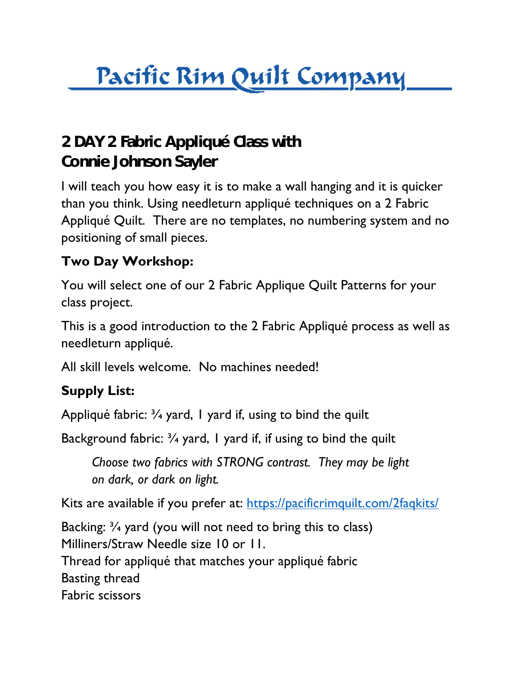## <u> Pacific Rim Quilt Company</u>

## **2 DAY 2 Fabric Appliqué Class with Connie Johnson Sayler**

I will teach you how easy it is to make a wall hanging and it is quicker than you think. Using needleturn appliqué techniques on a 2 Fabric Appliqué Quilt. There are no templates, no numbering system and no positioning of small pieces.

## **Two Day Workshop:**

You will select one of our 2 Fabric Applique Quilt Patterns for your class project.

This is a good introduction to the 2 Fabric Appliqué process as well as needleturn appliqué.

All skill levels welcome. No machines needed!

## **Supply List:**

Appliqué fabric:  $\frac{3}{4}$  yard, I yard if, using to bind the quilt

Background fabric:  $\frac{3}{4}$  yard, I yard if, if using to bind the quilt

*Choose two fabrics with STRONG contrast. They may be light on dark, or dark on light.*

Kits are available if you prefer at:<https://pacificrimquilt.com/2faqkits/>

Backing: ¾ yard (you will not need to bring this to class) Milliners/Straw Needle size 10 or 11. Thread for appliqué that matches your appliqué fabric Basting thread Fabric scissors